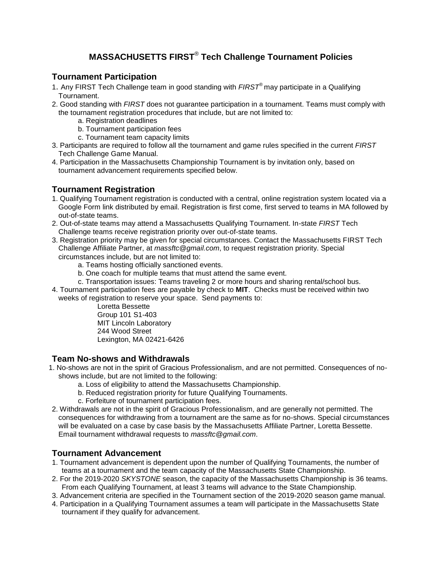# **MASSACHUSETTS FIRST**® **Tech Challenge Tournament Policies**

## **Tournament Participation**

- 1. Any FIRST Tech Challenge team in good standing with *FIRST*® may participate in a Qualifying Tournament.
- 2. Good standing with *FIRST* does not guarantee participation in a tournament. Teams must comply with the tournament registration procedures that include, but are not limited to:
	- a. Registration deadlines
	- b. Tournament participation fees
	- c. Tournament team capacity limits
- 3. Participants are required to follow all the tournament and game rules specified in the current *FIRST* Tech Challenge Game Manual.
- 4. Participation in the Massachusetts Championship Tournament is by invitation only, based on tournament advancement requirements specified below.

### **Tournament Registration**

- 1. Qualifying Tournament registration is conducted with a central, online registration system located via a Google Form link distributed by email. Registration is first come, first served to teams in MA followed by out-of-state teams.
- 2. Out-of-state teams may attend a Massachusetts Qualifying Tournament. In-state *FIRST* Tech Challenge teams receive registration priority over out-of-state teams.
- 3. Registration priority may be given for special circumstances. Contact the Massachusetts FIRST Tech Challenge Affiliate Partner, at *massftc@gmail.com*, to request registration priority. Special circumstances include, but are not limited to:
	- a. Teams hosting officially sanctioned events.
	- b. One coach for multiple teams that must attend the same event.
	- c. Transportation issues: Teams traveling 2 or more hours and sharing rental/school bus.
- 4. Tournament participation fees are payable by check to **MIT**. Checks must be received within two weeks of registration to reserve your space. Send payments to:

Loretta Bessette Group 101 S1-403 MIT Lincoln Laboratory 244 Wood Street Lexington, MA 02421-6426

### **Team No-shows and Withdrawals**

- 1. No-shows are not in the spirit of Gracious Professionalism, and are not permitted. Consequences of noshows include, but are not limited to the following:
	- a. Loss of eligibility to attend the Massachusetts Championship.
	- b. Reduced registration priority for future Qualifying Tournaments.
	- c. Forfeiture of tournament participation fees.
- 2. Withdrawals are not in the spirit of Gracious Professionalism, and are generally not permitted. The consequences for withdrawing from a tournament are the same as for no-shows. Special circumstances will be evaluated on a case by case basis by the Massachusetts Affiliate Partner, Loretta Bessette. Email tournament withdrawal requests to *massftc@gmail.com*.

### **Tournament Advancement**

- 1. Tournament advancement is dependent upon the number of Qualifying Tournaments, the number of teams at a tournament and the team capacity of the Massachusetts State Championship.
- 2. For the 2019-2020 *SKYSTONE* season, the capacity of the Massachusetts Championship is 36 teams. From each Qualifying Tournament, at least 3 teams will advance to the State Championship.
- 3. Advancement criteria are specified in the Tournament section of the 2019-2020 season game manual.
- 4. Participation in a Qualifying Tournament assumes a team will participate in the Massachusetts State tournament if they qualify for advancement.